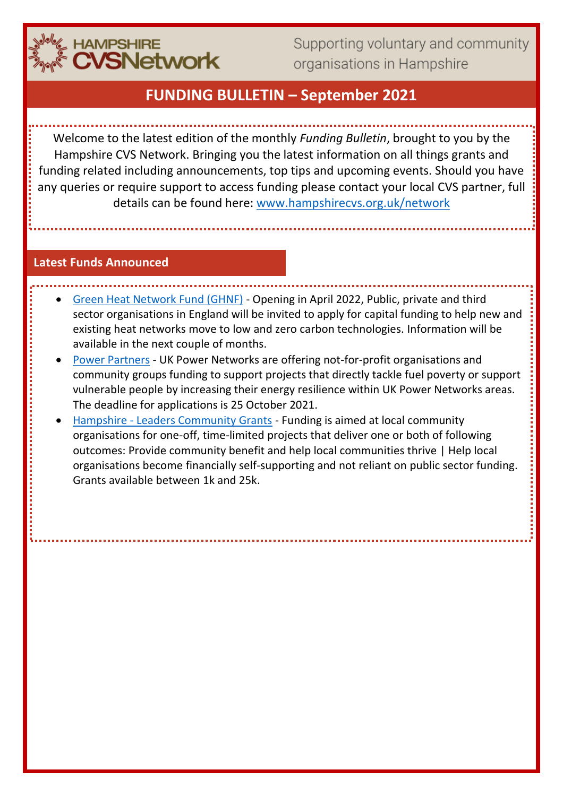

Supporting voluntary and community organisations in Hampshire

# **FUNDING BULLETIN – September 2021**

Welcome to the latest edition of the monthly *Funding Bulletin*, brought to you by the Hampshire CVS Network. Bringing you the latest information on all things grants and funding related including announcements, top tips and upcoming events. Should you have any queries or require support to access funding please contact your local CVS partner, full details can be found here: [www.hampshirecvs.org.uk/network](http://www.hampshirecvs.org.uk/network)

#### **Latest Funds Announced**

- [Green Heat Network Fund \(GHNF\)](https://www.gov.uk/government/consultations/green-heat-network-fund-proposals-for-the-scheme-design) Opening in April 2022, Public, private and third sector organisations in England will be invited to apply for capital funding to help new and existing heat networks move to low and zero carbon technologies. Information will be available in the next couple of months.
- [Power Partners](https://www.cse.org.uk/projects/view/1356) UK Power Networks are offering not-for-profit organisations and community groups funding to support projects that directly tackle fuel poverty or support vulnerable people by increasing their energy resilience within UK Power Networks areas. The deadline for applications is 25 October 2021.
- Hampshire [Leaders Community Grants](https://www.hants.gov.uk/community/grants/grants-list/leaders-community-grants) Funding is aimed at local community organisations for one-off, time-limited projects that deliver one or both of following outcomes: Provide community benefit and help local communities thrive | Help local organisations become financially self-supporting and not reliant on public sector funding. Grants available between 1k and 25k.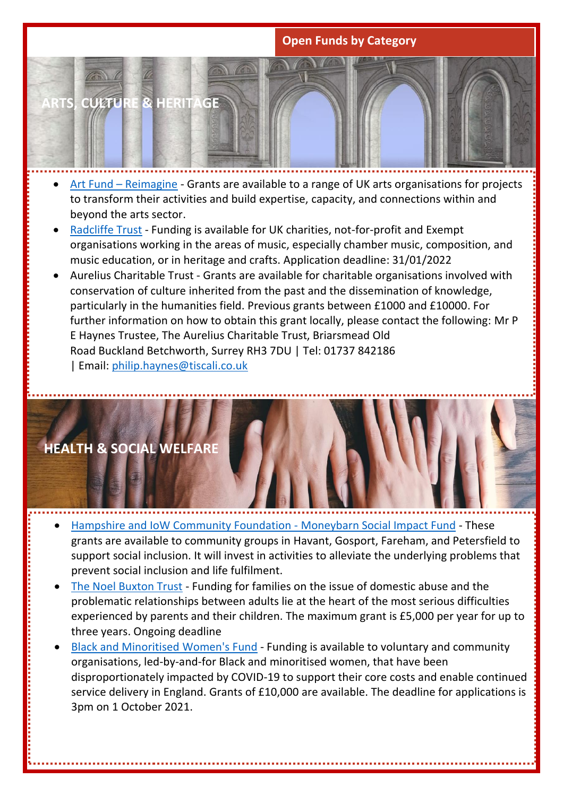## **Open Funds by Category**



- Art Fund [Reimagine](https://www.artfund.org/supporting-museums/programmes/reimagine-grants) Grants are available to a range of UK arts organisations for projects to transform their activities and build expertise, capacity, and connections within and beyond the arts sector.
- [Radcliffe Trust](https://theradcliffetrust.org/) Funding is available for UK charities, not-for-profit and Exempt organisations working in the areas of music, especially chamber music, composition, and music education, or in heritage and crafts. Application deadline: 31/01/2022
- Aurelius Charitable Trust Grants are available for charitable organisations involved with conservation of culture inherited from the past and the dissemination of knowledge, particularly in the humanities field. Previous grants between £1000 and £10000. For further information on how to obtain this grant locally, please contact the following: Mr P E Haynes Trustee, The Aurelius Charitable Trust, Briarsmead Old Road Buckland Betchworth, Surrey RH3 7DU | Tel: 01737 842186 | Email: [philip.haynes@tiscali.co.uk](mailto:philip.haynes@tiscali.co.uk)



- [Hampshire and IoW Community Foundation -](https://www.hiwcf.com/grant/moneybarn/) Moneybarn Social Impact Fund These grants are available to community groups in Havant, Gosport, Fareham, and Petersfield to support social inclusion. It will invest in activities to alleviate the underlying problems that prevent social inclusion and life fulfilment.
- [The Noel Buxton Trust](http://www.noelbuxtontrust.org.uk/2012family_000.htm?mc_cid=1518bdfe62&mc_eid=6ef5790e92#Who) Funding for families on the issue of domestic abuse and the problematic relationships between adults lie at the heart of the most serious difficulties experienced by parents and their children. The maximum grant is £5,000 per year for up to three years. Ongoing deadline
- Black and Minoritised [Women's Fund](https://www.wrc.org.uk/Pages/Category/black-minoritised-womens-fund) Funding is available to voluntary and community organisations, led-by-and-for Black and minoritised women, that have been disproportionately impacted by COVID-19 to support their core costs and enable continued service delivery in England. Grants of £10,000 are available. The deadline for applications is 3pm on 1 October 2021.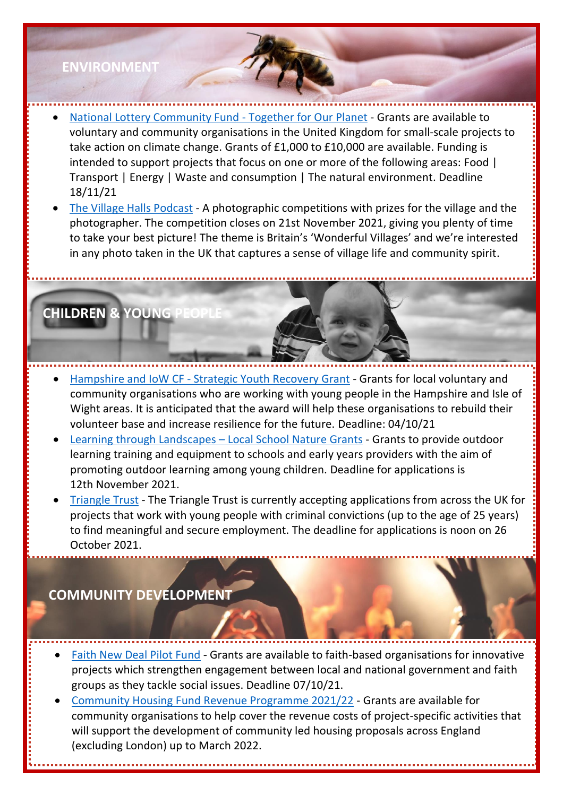# **ENVIRONMENT**

**CHILDREN & YOUNG** 

- [National Lottery Community Fund -](https://www.tnlcommunityfund.org.uk/funding/programmes/together-for-our-planet) Together for Our Planet Grants are available to voluntary and community organisations in the United Kingdom for small-scale projects to take action on climate change. Grants of £1,000 to £10,000 are available. Funding is intended to support projects that focus on one or more of the following areas: Food | Transport | Energy | Waste and consumption | The natural environment. Deadline 18/11/21
- [The Village Halls Podcast](https://thevillagehallspodcast.com/photo-competition/) A photographic competitions with prizes for the village and the photographer. The competition closes on 21st November 2021, giving you plenty of time to take your best picture! The theme is Britain's 'Wonderful Villages' and we're interested in any photo taken in the UK that captures a sense of village life and community spirit.

• Hampshire and IoW CF - [Strategic Youth Recovery Grant](https://www.hiwcf.com/grants/) - Grants for local voluntary and community organisations who are working with young people in the Hampshire and Isle of Wight areas. It is anticipated that the award will help these organisations to rebuild their volunteer base and increase resilience for the future. Deadline: 04/10/21

- [Learning through Landscapes](https://naturegrants.ltl.org.uk/)  Local School Nature Grants Grants to provide outdoor learning training and equipment to schools and early years providers with the aim of promoting outdoor learning among young children. Deadline for applications is 12th November 2021.
- [Triangle Trust](https://www.triangletrust.org.uk/) The Triangle Trust is currently accepting applications from across the UK for projects that work with young people with criminal convictions (up to the age of 25 years) to find meaningful and secure employment. The deadline for applications is noon on 26 October 2021.

# **COMMUNITY DEVELOPMENT**

- **[Faith New Deal Pilot Fund](https://www.gov.uk/government/publications/faith-new-deal-pilot-fund/faith-new-deal-pilot-fund-prospectus) Grants are available to faith-based organisations for innovative** projects which strengthen engagement between local and national government and faith groups as they tackle social issues. Deadline 07/10/21.
- [Community Housing Fund Revenue Programme 2021/22](https://www.communityledhomes.org.uk/chf-revenue-programme-202122) Grants are available for community organisations to help cover the revenue costs of project-specific activities that will support the development of community led housing proposals across England (excluding London) up to March 2022.